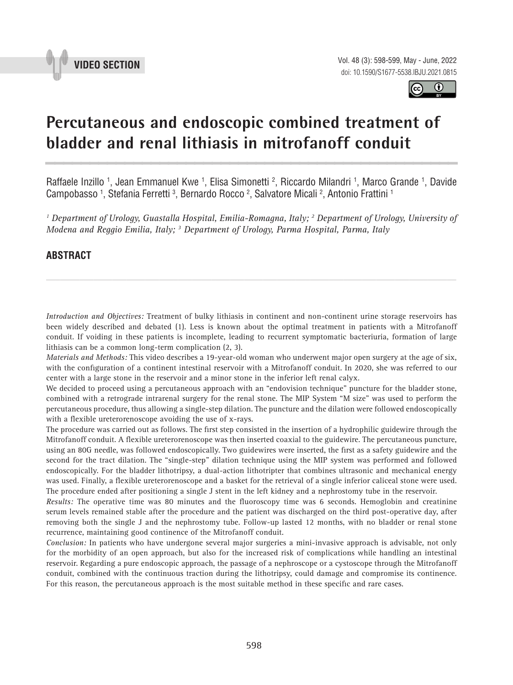



# **Percutaneous and endoscopic combined treatment of bladder and renal lithiasis in mitrofanoff conduit \_\_\_\_\_\_\_\_\_\_\_\_\_\_\_\_\_\_\_\_\_\_\_\_\_\_\_\_\_\_\_\_\_\_\_\_\_\_\_\_\_\_\_\_\_\_\_**

Raffaele Inzillo <sup>1</sup>, Jean Emmanuel Kwe <sup>1</sup>, Elisa Simonetti <sup>2</sup>, Riccardo Milandri <sup>1</sup>, Marco Grande <sup>1</sup>, Davide Campobasso <sup>1</sup>, Stefania Ferretti <sup>3</sup>, Bernardo Rocco <sup>2</sup>, Salvatore Micali <sup>2</sup>, Antonio Frattini <sup>1</sup>

<sup>1</sup> Department of Urology, Guastalla Hospital, Emilia-Romagna, Italy; <sup>2</sup> Department of Urology, University of *Modena and Reggio Emilia, Italy; 3 Department of Urology, Parma Hospital, Parma, Italy*

## **ABSTRACT**

*Introduction and Objectives:* Treatment of bulky lithiasis in continent and non-continent urine storage reservoirs has been widely described and debated (1). Less is known about the optimal treatment in patients with a Mitrofanoff conduit. If voiding in these patients is incomplete, leading to recurrent symptomatic bacteriuria, formation of large lithiasis can be a common long-term complication (2, 3).

*\_\_\_\_\_\_\_\_\_\_\_\_\_\_\_\_\_\_\_\_\_\_\_\_\_\_\_\_\_\_\_\_\_\_\_\_\_\_\_\_\_\_\_\_\_\_\_\_\_\_\_\_\_\_\_\_\_\_\_\_\_\_\_\_\_\_\_\_\_\_\_\_\_\_\_\_\_\_\_\_\_\_\_\_\_\_\_*

*Materials and Methods:* This video describes a 19-year-old woman who underwent major open surgery at the age of six, with the configuration of a continent intestinal reservoir with a Mitrofanoff conduit. In 2020, she was referred to our center with a large stone in the reservoir and a minor stone in the inferior left renal calyx.

We decided to proceed using a percutaneous approach with an "endovision technique" puncture for the bladder stone, combined with a retrograde intrarenal surgery for the renal stone. The MIP System "M size" was used to perform the percutaneous procedure, thus allowing a single-step dilation. The puncture and the dilation were followed endoscopically with a flexible ureterorenoscope avoiding the use of x-rays.

The procedure was carried out as follows. The first step consisted in the insertion of a hydrophilic guidewire through the Mitrofanoff conduit. A flexible ureterorenoscope was then inserted coaxial to the guidewire. The percutaneous puncture, using an 80G needle, was followed endoscopically. Two guidewires were inserted, the first as a safety guidewire and the second for the tract dilation. The "single-step" dilation technique using the MIP system was performed and followed endoscopically. For the bladder lithotripsy, a dual-action lithotripter that combines ultrasonic and mechanical energy was used. Finally, a flexible ureterorenoscope and a basket for the retrieval of a single inferior caliceal stone were used. The procedure ended after positioning a single J stent in the left kidney and a nephrostomy tube in the reservoir.

*Results:* The operative time was 80 minutes and the fluoroscopy time was 6 seconds. Hemoglobin and creatinine serum levels remained stable after the procedure and the patient was discharged on the third post-operative day, after removing both the single J and the nephrostomy tube. Follow-up lasted 12 months, with no bladder or renal stone recurrence, maintaining good continence of the Mitrofanoff conduit.

*Conclusion:* In patients who have undergone several major surgeries a mini-invasive approach is advisable, not only for the morbidity of an open approach, but also for the increased risk of complications while handling an intestinal reservoir. Regarding a pure endoscopic approach, the passage of a nephroscope or a cystoscope through the Mitrofanoff conduit, combined with the continuous traction during the lithotripsy, could damage and compromise its continence. For this reason, the percutaneous approach is the most suitable method in these specific and rare cases.